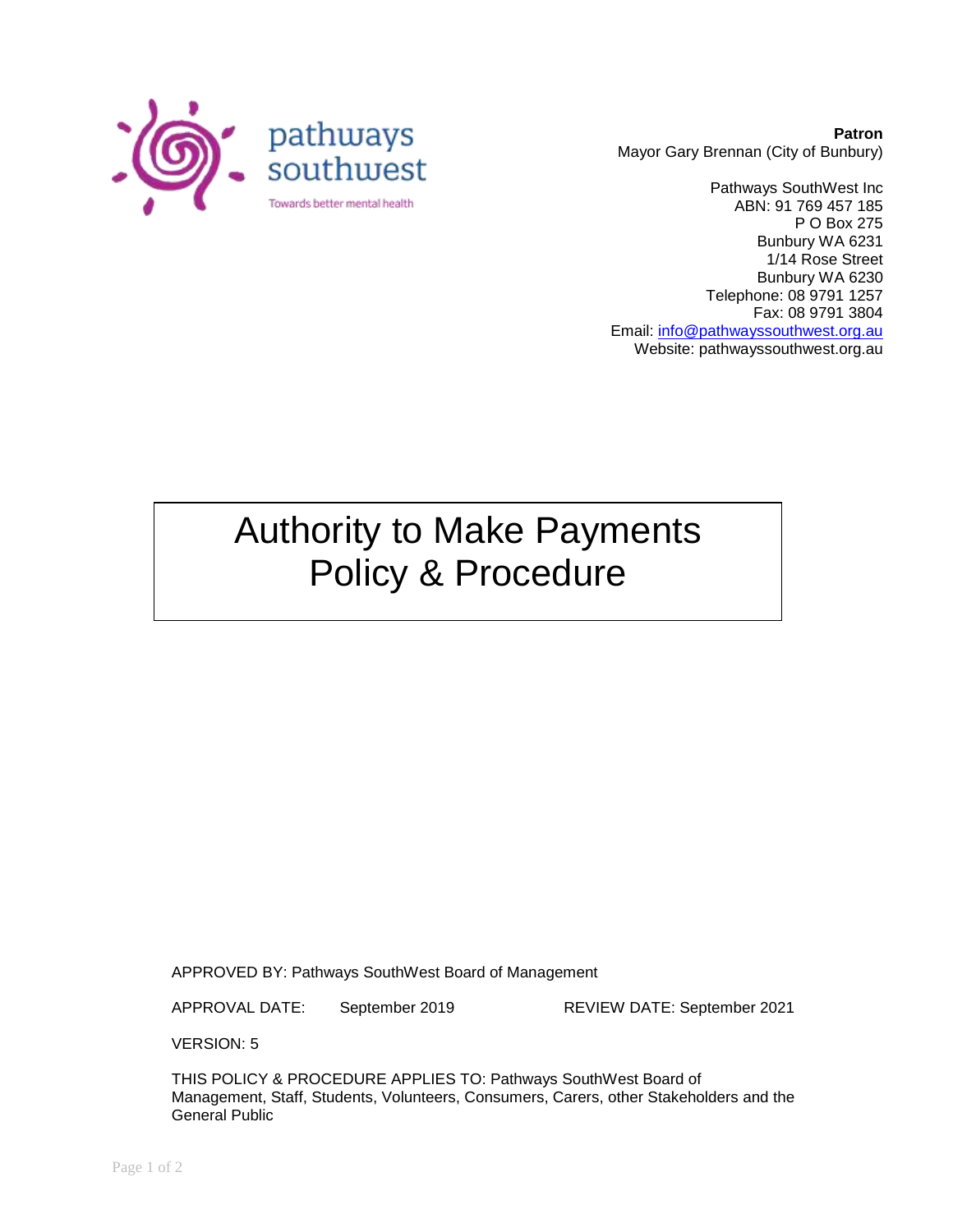

**Patron** Mayor Gary Brennan (City of Bunbury)

Pathways SouthWest Inc ABN: 91 769 457 185 P O Box 275 Bunbury WA 6231 1/14 Rose Street Bunbury WA 6230 Telephone: 08 9791 1257 Fax: 08 9791 3804 Email: [info@pathwayssouthwest.org.au](mailto:info@pathwayssouthwest.org.au) Website: pathwayssouthwest.org.au

## Authority to Make Payments Policy & Procedure

APPROVED BY: Pathways SouthWest Board of Management

APPROVAL DATE: September 2019 REVIEW DATE: September 2021

VERSION: 5

THIS POLICY & PROCEDURE APPLIES TO: Pathways SouthWest Board of Management, Staff, Students, Volunteers, Consumers, Carers, other Stakeholders and the General Public